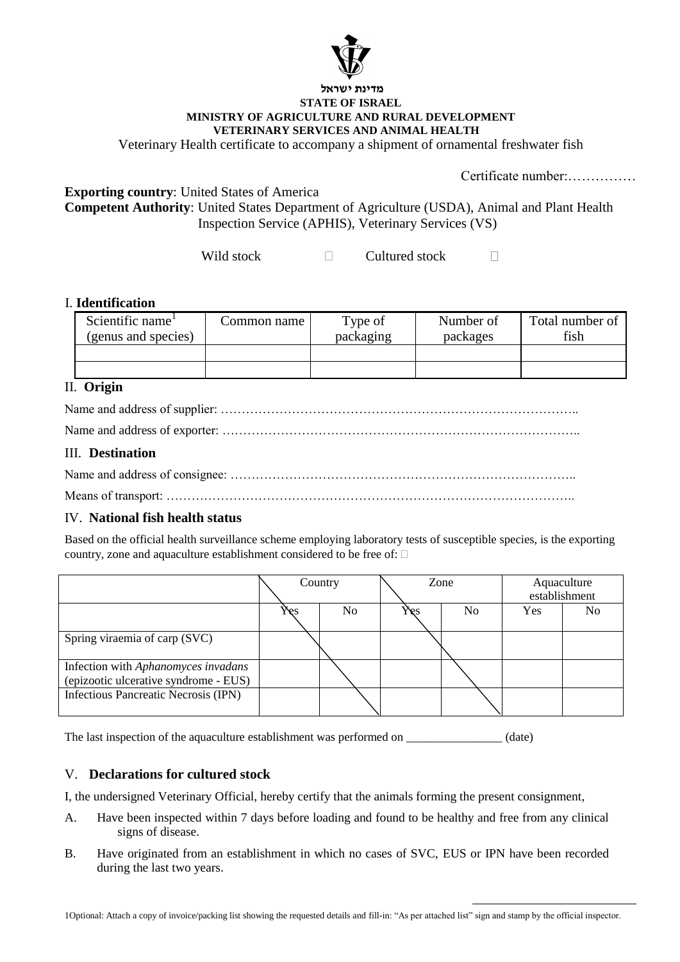

#### **מדינת ישראל STATE OF ISRAEL MINISTRY OF AGRICULTURE AND RURAL DEVELOPMENT VETERINARY SERVICES AND ANIMAL HEALTH**

Veterinary Health certificate to accompany a shipment of ornamental freshwater fish

Certificate number:……………

**Exporting country**: United States of America

**Competent Authority**: United States Department of Agriculture (USDA), Animal and Plant Health Inspection Service (APHIS), Veterinary Services (VS)

> Wild stock Cultured stock  $\Box$

### I. **Identification**

| Scientific name <sup>1</sup> | Common name | Type of   | Number of | Total number of |
|------------------------------|-------------|-----------|-----------|-----------------|
| (genus and species)          |             | packaging | packages  | fish            |
|                              |             |           |           |                 |
|                              |             |           |           |                 |

# II. **Origin**

# III. **Destination**

# IV. **National fish health status**

Based on the official health surveillance scheme employing laboratory tests of susceptible species, is the exporting country, zone and aquaculture establishment considered to be free of:

|                                                                              | Country |                | Zone |                | Aquaculture<br>establishment |                |
|------------------------------------------------------------------------------|---------|----------------|------|----------------|------------------------------|----------------|
|                                                                              | Yes     | N <sub>0</sub> | Yes  | N <sub>0</sub> | <b>Yes</b>                   | N <sub>0</sub> |
| Spring viraemia of carp (SVC)                                                |         |                |      |                |                              |                |
| Infection with Aphanomyces invadans<br>(epizootic ulcerative syndrome - EUS) |         |                |      |                |                              |                |
| Infectious Pancreatic Necrosis (IPN)                                         |         |                |      |                |                              |                |

The last inspection of the aquaculture establishment was performed on \_\_\_\_\_\_\_\_\_\_\_\_\_\_\_ (date)

# V. **Declarations for cultured stock**

I, the undersigned Veterinary Official, hereby certify that the animals forming the present consignment,

- A. Have been inspected within 7 days before loading and found to be healthy and free from any clinical signs of disease.
- B. Have originated from an establishment in which no cases of SVC, EUS or IPN have been recorded during the last two years.

 1Optional: Attach a copy of invoice/packing list showing the requested details and fill-in: "As per attached list" sign and stamp by the official inspector.